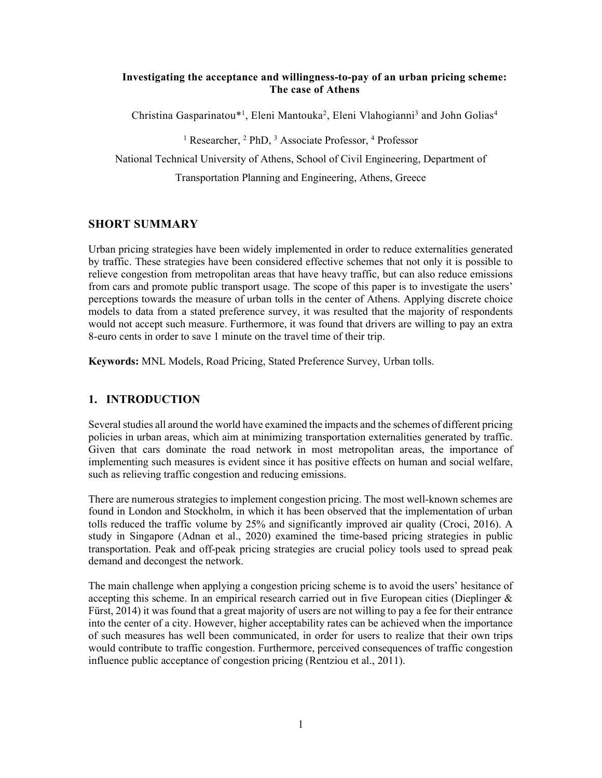### Investigating the acceptance and willingness-to-pay of an urban pricing scheme: The case of Athens

Christina Gasparinatou\*<sup>1</sup>, Eleni Mantouka<sup>2</sup>, Eleni Vlahogianni<sup>3</sup> and John Golias<sup>4</sup>

<sup>1</sup> Researcher, <sup>2</sup> PhD, <sup>3</sup> Associate Professor, <sup>4</sup> Professor

National Technical University of Athens, School of Civil Engineering, Department of

Transportation Planning and Engineering, Athens, Greece

## SHORT SUMMARY

Urban pricing strategies have been widely implemented in order to reduce externalities generated by traffic. These strategies have been considered effective schemes that not only it is possible to relieve congestion from metropolitan areas that have heavy traffic, but can also reduce emissions from cars and promote public transport usage. The scope of this paper is to investigate the users' perceptions towards the measure of urban tolls in the center of Athens. Applying discrete choice models to data from a stated preference survey, it was resulted that the majority of respondents would not accept such measure. Furthermore, it was found that drivers are willing to pay an extra 8-euro cents in order to save 1 minute on the travel time of their trip.

Keywords: MNL Models, Road Pricing, Stated Preference Survey, Urban tolls.

# 1. INTRODUCTION

Several studies all around the world have examined the impacts and the schemes of different pricing policies in urban areas, which aim at minimizing transportation externalities generated by traffic. Given that cars dominate the road network in most metropolitan areas, the importance of implementing such measures is evident since it has positive effects on human and social welfare, such as relieving traffic congestion and reducing emissions.

There are numerous strategies to implement congestion pricing. The most well-known schemes are found in London and Stockholm, in which it has been observed that the implementation of urban tolls reduced the traffic volume by 25% and significantly improved air quality (Croci, 2016). A study in Singapore (Adnan et al., 2020) examined the time-based pricing strategies in public transportation. Peak and off-peak pricing strategies are crucial policy tools used to spread peak demand and decongest the network.

The main challenge when applying a congestion pricing scheme is to avoid the users' hesitance of accepting this scheme. In an empirical research carried out in five European cities (Dieplinger  $\&$ Fürst, 2014) it was found that a great majority of users are not willing to pay a fee for their entrance into the center of a city. However, higher acceptability rates can be achieved when the importance of such measures has well been communicated, in order for users to realize that their own trips would contribute to traffic congestion. Furthermore, perceived consequences of traffic congestion influence public acceptance of congestion pricing (Rentziou et al., 2011).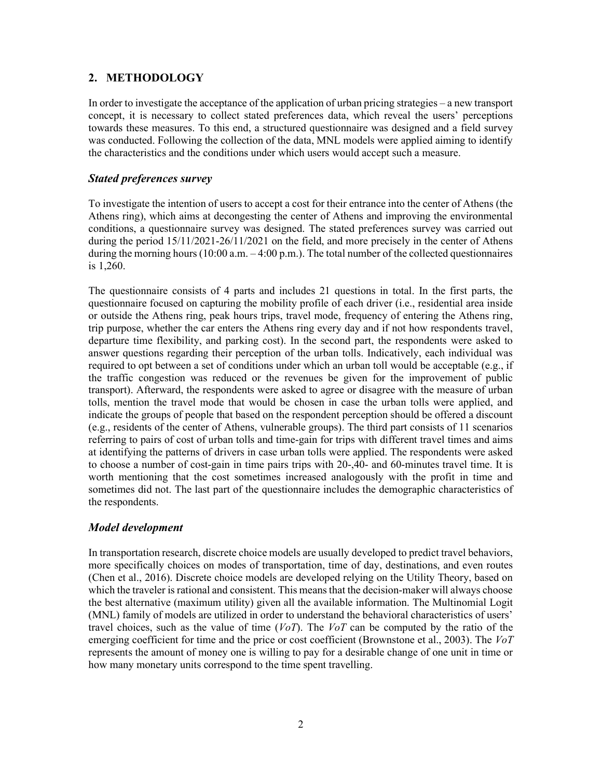## 2. METHODOLOGY

In order to investigate the acceptance of the application of urban pricing strategies – a new transport concept, it is necessary to collect stated preferences data, which reveal the users' perceptions towards these measures. To this end, a structured questionnaire was designed and a field survey was conducted. Following the collection of the data, MNL models were applied aiming to identify the characteristics and the conditions under which users would accept such a measure.

## Stated preferences survey

To investigate the intention of users to accept a cost for their entrance into the center of Athens (the Athens ring), which aims at decongesting the center of Athens and improving the environmental conditions, a questionnaire survey was designed. The stated preferences survey was carried out during the period 15/11/2021-26/11/2021 on the field, and more precisely in the center of Athens during the morning hours  $(10:00 \text{ a.m.} - 4:00 \text{ p.m.})$ . The total number of the collected questionnaires is 1,260.

The questionnaire consists of 4 parts and includes 21 questions in total. In the first parts, the questionnaire focused on capturing the mobility profile of each driver (i.e., residential area inside or outside the Athens ring, peak hours trips, travel mode, frequency of entering the Athens ring, trip purpose, whether the car enters the Athens ring every day and if not how respondents travel, departure time flexibility, and parking cost). In the second part, the respondents were asked to answer questions regarding their perception of the urban tolls. Indicatively, each individual was required to opt between a set of conditions under which an urban toll would be acceptable (e.g., if the traffic congestion was reduced or the revenues be given for the improvement of public transport). Afterward, the respondents were asked to agree or disagree with the measure of urban tolls, mention the travel mode that would be chosen in case the urban tolls were applied, and indicate the groups of people that based on the respondent perception should be offered a discount (e.g., residents of the center of Athens, vulnerable groups). The third part consists of 11 scenarios referring to pairs of cost of urban tolls and time-gain for trips with different travel times and aims at identifying the patterns of drivers in case urban tolls were applied. The respondents were asked to choose a number of cost-gain in time pairs trips with 20-,40- and 60-minutes travel time. It is worth mentioning that the cost sometimes increased analogously with the profit in time and sometimes did not. The last part of the questionnaire includes the demographic characteristics of the respondents.

## Model development

In transportation research, discrete choice models are usually developed to predict travel behaviors, more specifically choices on modes of transportation, time of day, destinations, and even routes (Chen et al., 2016). Discrete choice models are developed relying on the Utility Theory, based on which the traveler is rational and consistent. This means that the decision-maker will always choose the best alternative (maximum utility) given all the available information. The Multinomial Logit (MNL) family of models are utilized in order to understand the behavioral characteristics of users' travel choices, such as the value of time  $(VoT)$ . The  $VoT$  can be computed by the ratio of the emerging coefficient for time and the price or cost coefficient (Brownstone et al., 2003). The  $V\circ T$ represents the amount of money one is willing to pay for a desirable change of one unit in time or how many monetary units correspond to the time spent travelling.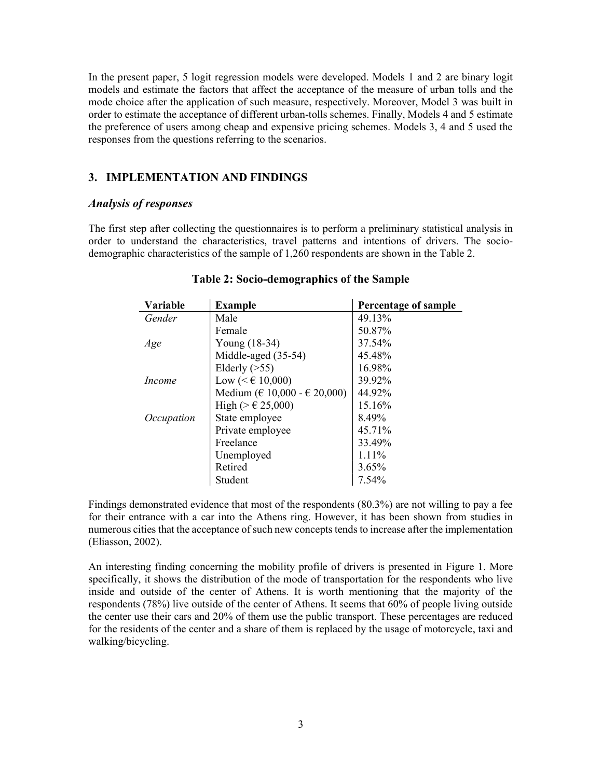In the present paper, 5 logit regression models were developed. Models 1 and 2 are binary logit models and estimate the factors that affect the acceptance of the measure of urban tolls and the mode choice after the application of such measure, respectively. Moreover, Model 3 was built in order to estimate the acceptance of different urban-tolls schemes. Finally, Models 4 and 5 estimate the preference of users among cheap and expensive pricing schemes. Models 3, 4 and 5 used the responses from the questions referring to the scenarios.

### 3. IMPLEMENTATION AND FINDINGS

#### Analysis of responses

The first step after collecting the questionnaires is to perform a preliminary statistical analysis in order to understand the characteristics, travel patterns and intentions of drivers. The sociodemographic characteristics of the sample of 1,260 respondents are shown in the Table 2.

| Variable   | <b>Example</b>                        | <b>Percentage of sample</b> |
|------------|---------------------------------------|-----------------------------|
| Gender     | Male                                  | 49.13%                      |
|            | Female                                | 50.87%                      |
| Age        | Young (18-34)                         | 37.54%                      |
|            | Middle-aged (35-54)                   | 45.48%                      |
|            | Elderly $($ >55)                      | 16.98%                      |
| Income     | Low ( $≤$ € 10,000)                   | 39.92%                      |
|            | Medium ( $\in$ 10,000 - $\in$ 20,000) | 44.92%                      |
|            | High (> € 25,000)                     | 15.16%                      |
| Occupation | State employee                        | 8.49%                       |
|            | Private employee                      | 45.71%                      |
|            | Freelance                             | 33.49%                      |
|            | Unemployed                            | $1.11\%$                    |
|            | Retired                               | 3.65%                       |
|            | Student                               | 7.54%                       |

### Table 2: Socio-demographics of the Sample

Findings demonstrated evidence that most of the respondents (80.3%) are not willing to pay a fee for their entrance with a car into the Athens ring. However, it has been shown from studies in numerous cities that the acceptance of such new concepts tends to increase after the implementation (Eliasson, 2002).

An interesting finding concerning the mobility profile of drivers is presented in Figure 1. More specifically, it shows the distribution of the mode of transportation for the respondents who live inside and outside of the center of Athens. It is worth mentioning that the majority of the respondents (78%) live outside of the center of Athens. It seems that 60% of people living outside the center use their cars and 20% of them use the public transport. These percentages are reduced for the residents of the center and a share of them is replaced by the usage of motorcycle, taxi and walking/bicycling.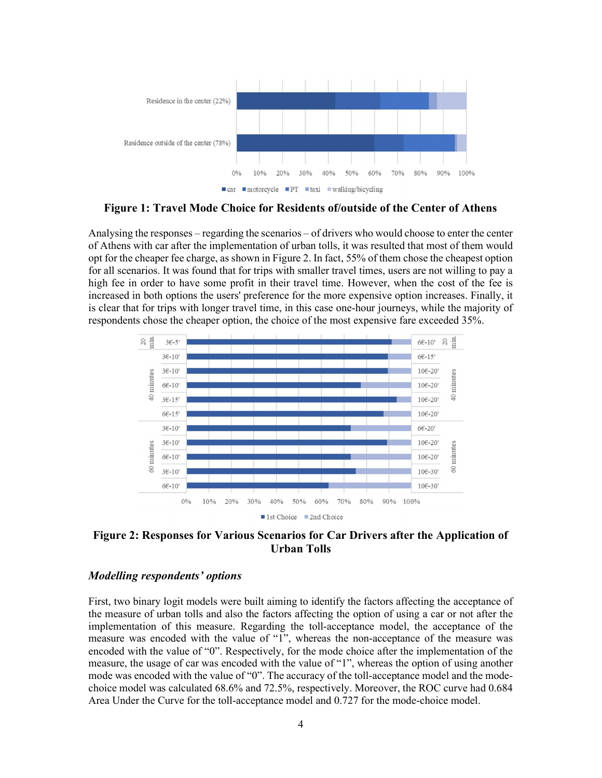

Figure 1: Travel Mode Choice for Residents of/outside of the Center of Athens

Analysing the responses – regarding the scenarios – of drivers who would choose to enter the center of Athens with car after the implementation of urban tolls, it was resulted that most of them would opt for the cheaper fee charge, as shown in Figure 2. In fact, 55% of them chose the cheapest option for all scenarios. It was found that for trips with smaller travel times, users are not willing to pay a high fee in order to have some profit in their travel time. However, when the cost of the fee is increased in both options the users' preference for the more expensive option increases. Finally, it is clear that for trips with longer travel time, in this case one-hour journeys, while the majority of respondents chose the cheaper option, the choice of the most expensive fare exceeded 35%.



Figure 2: Responses for Various Scenarios for Car Drivers after the Application of Urban Tolls

#### Modelling respondents' options

First, two binary logit models were built aiming to identify the factors affecting the acceptance of the measure of urban tolls and also the factors affecting the option of using a car or not after the implementation of this measure. Regarding the toll-acceptance model, the acceptance of the measure was encoded with the value of "1", whereas the non-acceptance of the measure was encoded with the value of "0". Respectively, for the mode choice after the implementation of the measure, the usage of car was encoded with the value of "1", whereas the option of using another mode was encoded with the value of "0". The accuracy of the toll-acceptance model and the modechoice model was calculated 68.6% and 72.5%, respectively. Moreover, the ROC curve had 0.684 Area Under the Curve for the toll-acceptance model and 0.727 for the mode-choice model.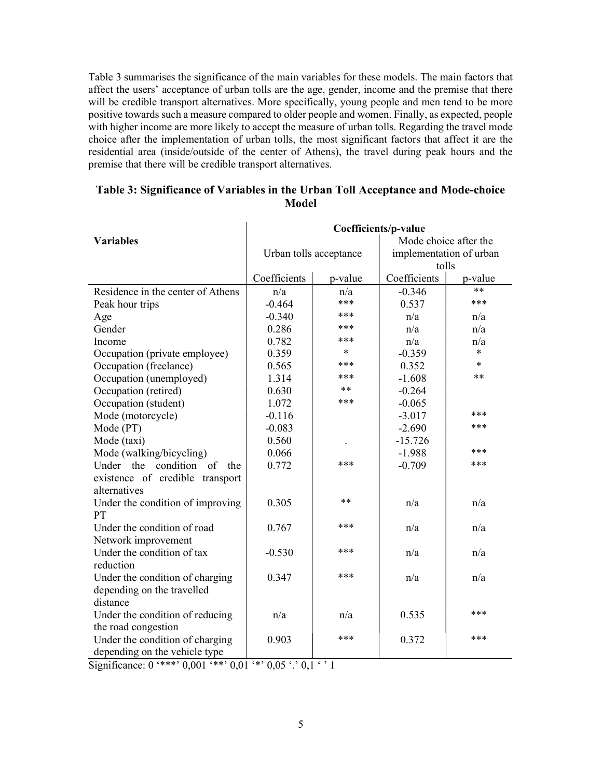Table 3 summarises the significance of the main variables for these models. The main factors that affect the users' acceptance of urban tolls are the age, gender, income and the premise that there will be credible transport alternatives. More specifically, young people and men tend to be more positive towards such a measure compared to older people and women. Finally, as expected, people with higher income are more likely to accept the measure of urban tolls. Regarding the travel mode choice after the implementation of urban tolls, the most significant factors that affect it are the residential area (inside/outside of the center of Athens), the travel during peak hours and the premise that there will be credible transport alternatives.

|                                                 | Coefficients/p-value   |         |                         |         |  |
|-------------------------------------------------|------------------------|---------|-------------------------|---------|--|
| <b>Variables</b>                                |                        |         | Mode choice after the   |         |  |
|                                                 | Urban tolls acceptance |         | implementation of urban |         |  |
|                                                 |                        |         | tolls                   |         |  |
|                                                 | Coefficients           | p-value | Coefficients            | p-value |  |
| Residence in the center of Athens               | n/a                    | n/a     | $-0.346$                | $**$    |  |
| Peak hour trips                                 | $-0.464$               | ***     | 0.537                   | ***     |  |
| Age                                             | $-0.340$               | ***     | n/a                     | n/a     |  |
| Gender                                          | 0.286                  | ***     | n/a                     | n/a     |  |
| Income                                          | 0.782                  | ***     | n/a                     | n/a     |  |
| Occupation (private employee)                   | 0.359                  | $\ast$  | $-0.359$                | $\ast$  |  |
| Occupation (freelance)                          | 0.565                  | ***     | 0.352                   | $\ast$  |  |
| Occupation (unemployed)                         | 1.314                  | ***     | $-1.608$                | **      |  |
| Occupation (retired)                            | 0.630                  | $***$   | $-0.264$                |         |  |
| Occupation (student)                            | 1.072                  | ***     | $-0.065$                |         |  |
| Mode (motorcycle)                               | $-0.116$               |         | $-3.017$                | ***     |  |
| Mode (PT)                                       | $-0.083$               |         | $-2.690$                | ***     |  |
| Mode (taxi)                                     | 0.560                  |         | $-15.726$               |         |  |
| Mode (walking/bicycling)                        | 0.066                  |         | $-1.988$                | ***     |  |
| Under the condition of<br>the                   | 0.772                  | ***     | $-0.709$                | ***     |  |
| existence of credible transport<br>alternatives |                        |         |                         |         |  |
| Under the condition of improving<br>PT          | 0.305                  | $**$    | n/a                     | n/a     |  |
| Under the condition of road                     | 0.767                  | ***     | n/a                     | n/a     |  |
| Network improvement                             |                        |         |                         |         |  |
| Under the condition of tax                      | $-0.530$               | ***     | n/a                     | n/a     |  |
| reduction                                       |                        |         |                         |         |  |
| Under the condition of charging                 | 0.347                  | ***     | n/a                     | n/a     |  |
| depending on the travelled                      |                        |         |                         |         |  |
| distance                                        |                        |         |                         |         |  |
| Under the condition of reducing                 | n/a                    | n/a     | 0.535                   | ***     |  |
| the road congestion                             |                        |         |                         |         |  |
| Under the condition of charging                 | 0.903                  | ***     | 0.372                   | ***     |  |
| depending on the vehicle type                   |                        |         |                         |         |  |

### Table 3: Significance of Variables in the Urban Toll Acceptance and Mode-choice Model

Significance:  $0$  '\*\*\*'  $0.001$  '\*\*'  $0.01$  '\*'  $0.05$  '.'  $0.1$  ' ' 1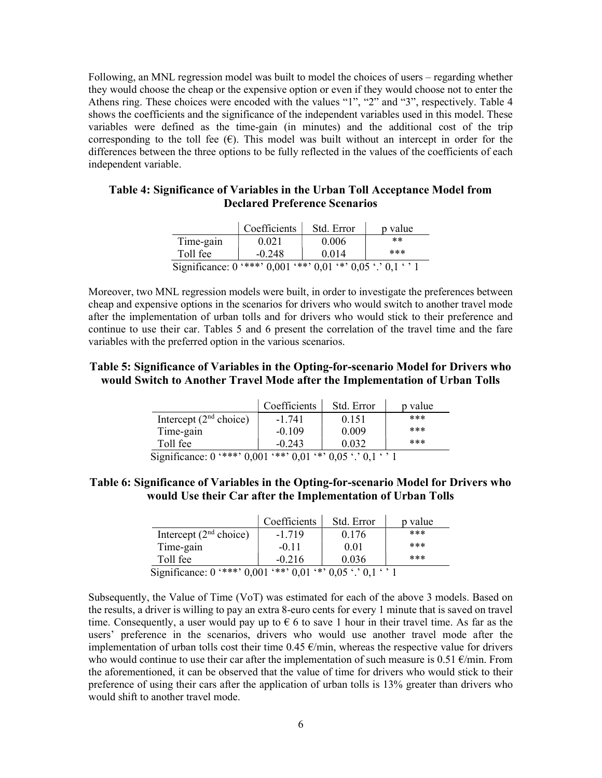Following, an MNL regression model was built to model the choices of users – regarding whether they would choose the cheap or the expensive option or even if they would choose not to enter the Athens ring. These choices were encoded with the values "1", "2" and "3", respectively. Table 4 shows the coefficients and the significance of the independent variables used in this model. These variables were defined as the time-gain (in minutes) and the additional cost of the trip corresponding to the toll fee  $(\epsilon)$ . This model was built without an intercept in order for the differences between the three options to be fully reflected in the values of the coefficients of each independent variable.

### Table 4: Significance of Variables in the Urban Toll Acceptance Model from Declared Preference Scenarios

|                                                                       | Coefficients | Std. Error | p value |
|-----------------------------------------------------------------------|--------------|------------|---------|
| Time-gain                                                             | 0.021        | 0.006      | $***$   |
| Toll fee                                                              | $-0.248$     | 0.014      | ***     |
| Significance: $0$ '***' $0.001$ '**' $0.01$ '*' $0.05$ '.' $0.1$ ' '1 |              |            |         |

Moreover, two MNL regression models were built, in order to investigate the preferences between cheap and expensive options in the scenarios for drivers who would switch to another travel mode after the implementation of urban tolls and for drivers who would stick to their preference and continue to use their car. Tables 5 and 6 present the correlation of the travel time and the fare variables with the preferred option in the various scenarios.

## Table 5: Significance of Variables in the Opting-for-scenario Model for Drivers who would Switch to Another Travel Mode after the Implementation of Urban Tolls

|                                                                       | Coefficients | Std. Error | p value |
|-----------------------------------------------------------------------|--------------|------------|---------|
| Intercept $(2nd choice)$                                              | $-1.741$     | 0.151      | ***     |
| Time-gain                                                             | $-0.109$     | 0.009      | ***     |
| Toll fee                                                              | $-0.243$     | 0.032      | ***     |
| Significance: $0$ '***' $0.001$ '**' $0.01$ '*' $0.05$ '.' $0.1$ ' '1 |              |            |         |

## Table 6: Significance of Variables in the Opting-for-scenario Model for Drivers who would Use their Car after the Implementation of Urban Tolls

|                                                                       | Coefficients | Std. Error | p value |
|-----------------------------------------------------------------------|--------------|------------|---------|
| Intercept $(2nd choice)$                                              | $-1.719$     | 0.176      | ***     |
| Time-gain                                                             | $-0.11$      | 0.01       | ***     |
| Toll fee                                                              | $-0.216$     | 0.036      | ***     |
| Significance: $0$ '***' $0.001$ '**' $0.01$ '*' $0.05$ '.' $0.1$ ' '1 |              |            |         |

Subsequently, the Value of Time (VoT) was estimated for each of the above 3 models. Based on the results, a driver is willing to pay an extra 8-euro cents for every 1 minute that is saved on travel time. Consequently, a user would pay up to  $\epsilon$  6 to save 1 hour in their travel time. As far as the users' preference in the scenarios, drivers who would use another travel mode after the implementation of urban tolls cost their time  $0.45 \text{ }\epsilon\text{/min}$ , whereas the respective value for drivers who would continue to use their car after the implementation of such measure is 0.51  $\epsilon$ /min. From the aforementioned, it can be observed that the value of time for drivers who would stick to their preference of using their cars after the application of urban tolls is 13% greater than drivers who would shift to another travel mode.